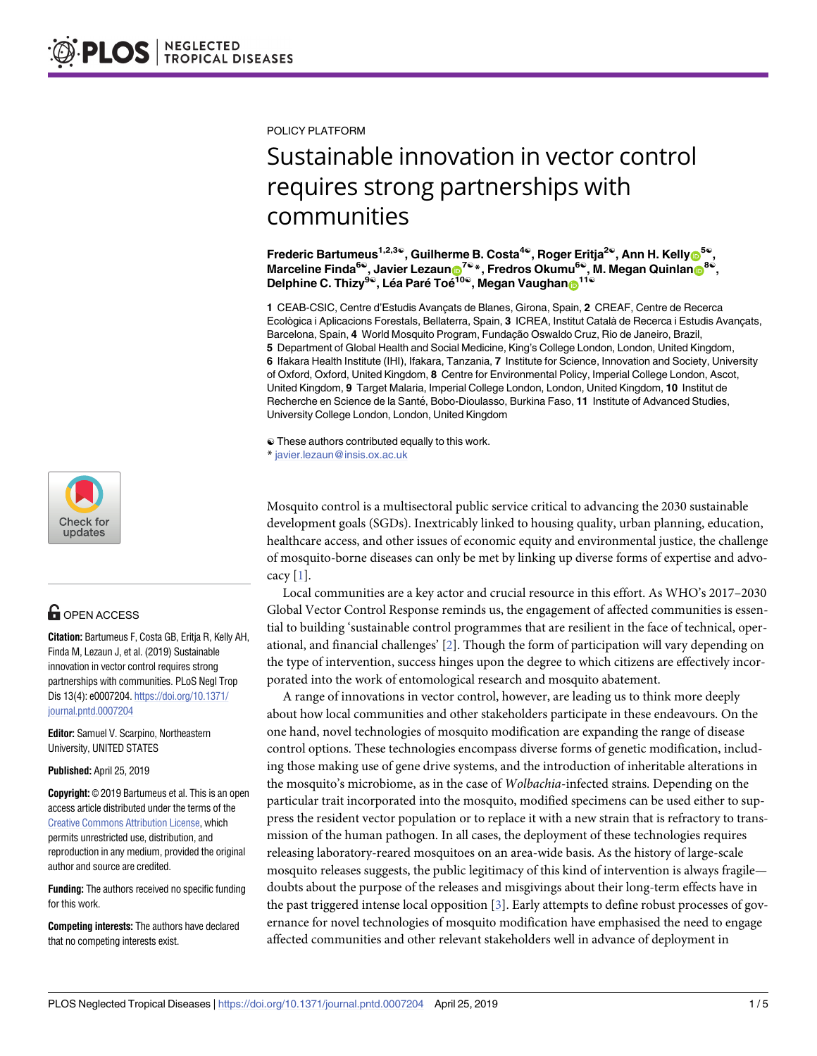

## **OPEN ACCESS**

**Citation:** Bartumeus F, Costa GB, Eritja R, Kelly AH, Finda M, Lezaun J, et al. (2019) Sustainable innovation in vector control requires strong partnerships with communities. PLoS Negl Trop Dis 13(4): e0007204. [https://doi.org/10.1371/](https://doi.org/10.1371/journal.pntd.0007204) [journal.pntd.0007204](https://doi.org/10.1371/journal.pntd.0007204)

**Editor:** Samuel V. Scarpino, Northeastern University, UNITED STATES

**Published:** April 25, 2019

**Copyright:** © 2019 Bartumeus et al. This is an open access article distributed under the terms of the Creative Commons [Attribution](http://creativecommons.org/licenses/by/4.0/) License, which permits unrestricted use, distribution, and reproduction in any medium, provided the original author and source are credited.

**Funding:** The authors received no specific funding for this work.

**Competing interests:** The authors have declared that no competing interests exist.

<span id="page-0-0"></span>POLICY PLATFORM

## Sustainable innovation in vector control requires strong partnerships with communities

**Frederic Bartumeus1,2,3**☯**, Guilherme B. Costa4**☯**, Roger Eritja2**☯**, Ann H. Kell[yID](http://orcid.org/0000-0003-4658-2133)5**☯**, Marceline Finda<sup>6©</sup>, Javier Lezaun<sub>10</sub>**<sup>7©</sup>\*, Fredros Okumu<sup>6©</sup>, M. Megan Quinlan<sub>10</sub><sup>8©</sup>, **Delphine C.** Thizy<sup>9©</sup>, Léa Paré Toé<sup>10©</sup>, Megan Vaughan<sub>©</sub>

1 CEAB-CSIC, Centre d'Estudis Avançats de Blanes, Girona, Spain, 2 CREAF, Centre de Recerca Ecològica i Aplicacions Forestals, Bellaterra, Spain, 3 ICREA, Institut Català de Recerca i Estudis Avançats, Barcelona, Spain, 4 World Mosquito Program, Fundação Oswaldo Cruz, Rio de Janeiro, Brazil, **5** Department of Global Health and Social Medicine, King's College London, London, United Kingdom, **6** Ifakara Health Institute (IHI), Ifakara, Tanzania, **7** Institute for Science, Innovation and Society, University of Oxford, Oxford, United Kingdom, **8** Centre for Environmental Policy, Imperial College London, Ascot, United Kingdom, **9** Target Malaria, Imperial College London, London, United Kingdom, **10** Institut de Recherche en Science de la Santé, Bobo-Dioulasso, Burkina Faso, 11 Institute of Advanced Studies, University College London, London, United Kingdom

☯ These authors contributed equally to this work.

\* javier.lezaun@insis.ox.ac.uk

Mosquito control is a multisectoral public service critical to advancing the 2030 sustainable development goals (SGDs). Inextricably linked to housing quality, urban planning, education, healthcare access, and other issues of economic equity and environmental justice, the challenge of mosquito-borne diseases can only be met by linking up diverse forms of expertise and advo- $cacy [1]$  $cacy [1]$ .

Local communities are a key actor and crucial resource in this effort. As WHO's 2017–2030 Global Vector Control Response reminds us, the engagement of affected communities is essential to building 'sustainable control programmes that are resilient in the face of technical, operational, and financial challenges' [[2](#page-3-0)]. Though the form of participation will vary depending on the type of intervention, success hinges upon the degree to which citizens are effectively incorporated into the work of entomological research and mosquito abatement.

A range of innovations in vector control, however, are leading us to think more deeply about how local communities and other stakeholders participate in these endeavours. On the one hand, novel technologies of mosquito modification are expanding the range of disease control options. These technologies encompass diverse forms of genetic modification, including those making use of gene drive systems, and the introduction of inheritable alterations in the mosquito's microbiome, as in the case of *Wolbachia*-infected strains. Depending on the particular trait incorporated into the mosquito, modified specimens can be used either to suppress the resident vector population or to replace it with a new strain that is refractory to transmission of the human pathogen. In all cases, the deployment of these technologies requires releasing laboratory-reared mosquitoes on an area-wide basis. As the history of large-scale mosquito releases suggests, the public legitimacy of this kind of intervention is always fragile doubts about the purpose of the releases and misgivings about their long-term effects have in the past triggered intense local opposition [\[3](#page-3-0)]. Early attempts to define robust processes of governance for novel technologies of mosquito modification have emphasised the need to engage affected communities and other relevant stakeholders well in advance of deployment in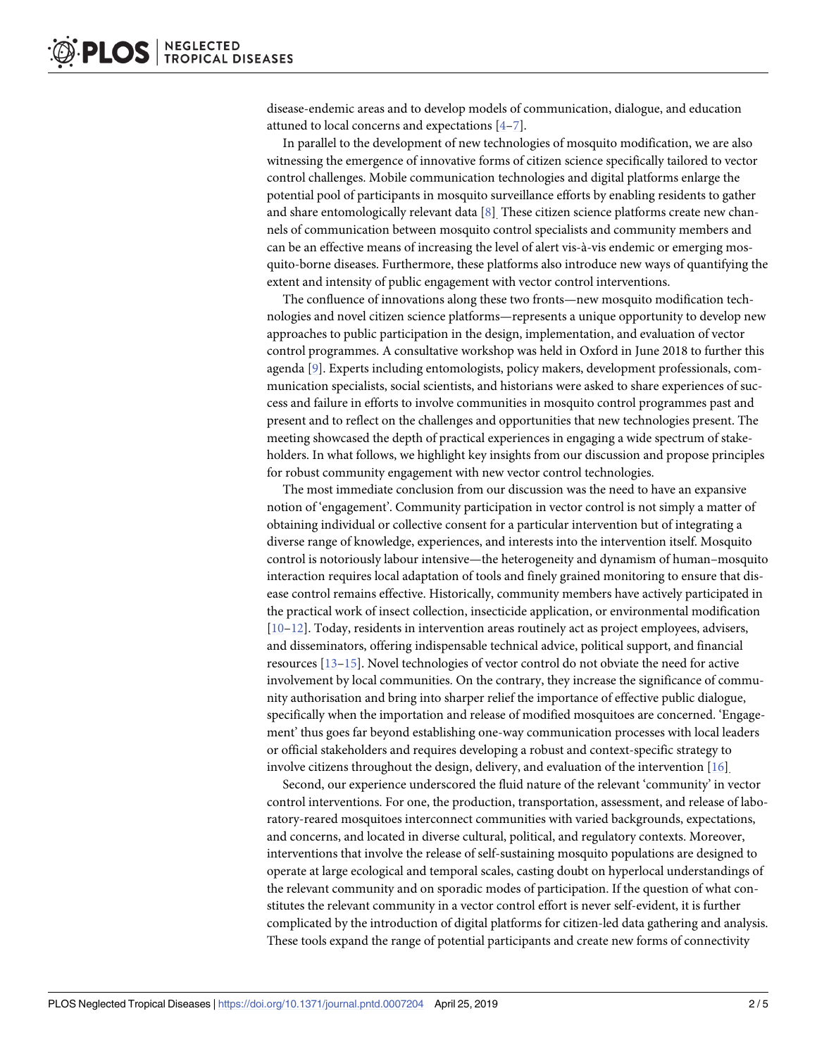<span id="page-1-0"></span>disease-endemic areas and to develop models of communication, dialogue, and education attuned to local concerns and expectations [[4](#page-3-0)–[7](#page-3-0)].

In parallel to the development of new technologies of mosquito modification, we are also witnessing the emergence of innovative forms of citizen science specifically tailored to vector control challenges. Mobile communication technologies and digital platforms enlarge the potential pool of participants in mosquito surveillance efforts by enabling residents to gather and share entomologically relevant data  $[8]$  $[8]$  $[8]$ . These citizen science platforms create new channels of communication between mosquito control specialists and community members and can be an effective means of increasing the level of alert vis-à-vis endemic or emerging mosquito-borne diseases. Furthermore, these platforms also introduce new ways of quantifying the extent and intensity of public engagement with vector control interventions.

The confluence of innovations along these two fronts—new mosquito modification technologies and novel citizen science platforms—represents a unique opportunity to develop new approaches to public participation in the design, implementation, and evaluation of vector control programmes. A consultative workshop was held in Oxford in June 2018 to further this agenda [[9\]](#page-3-0). Experts including entomologists, policy makers, development professionals, communication specialists, social scientists, and historians were asked to share experiences of success and failure in efforts to involve communities in mosquito control programmes past and present and to reflect on the challenges and opportunities that new technologies present. The meeting showcased the depth of practical experiences in engaging a wide spectrum of stakeholders. In what follows, we highlight key insights from our discussion and propose principles for robust community engagement with new vector control technologies.

The most immediate conclusion from our discussion was the need to have an expansive notion of 'engagement'. Community participation in vector control is not simply a matter of obtaining individual or collective consent for a particular intervention but of integrating a diverse range of knowledge, experiences, and interests into the intervention itself. Mosquito control is notoriously labour intensive—the heterogeneity and dynamism of human–mosquito interaction requires local adaptation of tools and finely grained monitoring to ensure that disease control remains effective. Historically, community members have actively participated in the practical work of insect collection, insecticide application, or environmental modification [\[10–12\]](#page-3-0). Today, residents in intervention areas routinely act as project employees, advisers, and disseminators, offering indispensable technical advice, political support, and financial resources [\[13–](#page-3-0)[15](#page-4-0)]. Novel technologies of vector control do not obviate the need for active involvement by local communities. On the contrary, they increase the significance of community authorisation and bring into sharper relief the importance of effective public dialogue, specifically when the importation and release of modified mosquitoes are concerned. 'Engagement' thus goes far beyond establishing one-way communication processes with local leaders or official stakeholders and requires developing a robust and context-specific strategy to involve citizens throughout the design, delivery, and evaluation of the intervention [\[16\]](#page-4-0).

Second, our experience underscored the fluid nature of the relevant 'community' in vector control interventions. For one, the production, transportation, assessment, and release of laboratory-reared mosquitoes interconnect communities with varied backgrounds, expectations, and concerns, and located in diverse cultural, political, and regulatory contexts. Moreover, interventions that involve the release of self-sustaining mosquito populations are designed to operate at large ecological and temporal scales, casting doubt on hyperlocal understandings of the relevant community and on sporadic modes of participation. If the question of what constitutes the relevant community in a vector control effort is never self-evident, it is further complicated by the introduction of digital platforms for citizen-led data gathering and analysis. These tools expand the range of potential participants and create new forms of connectivity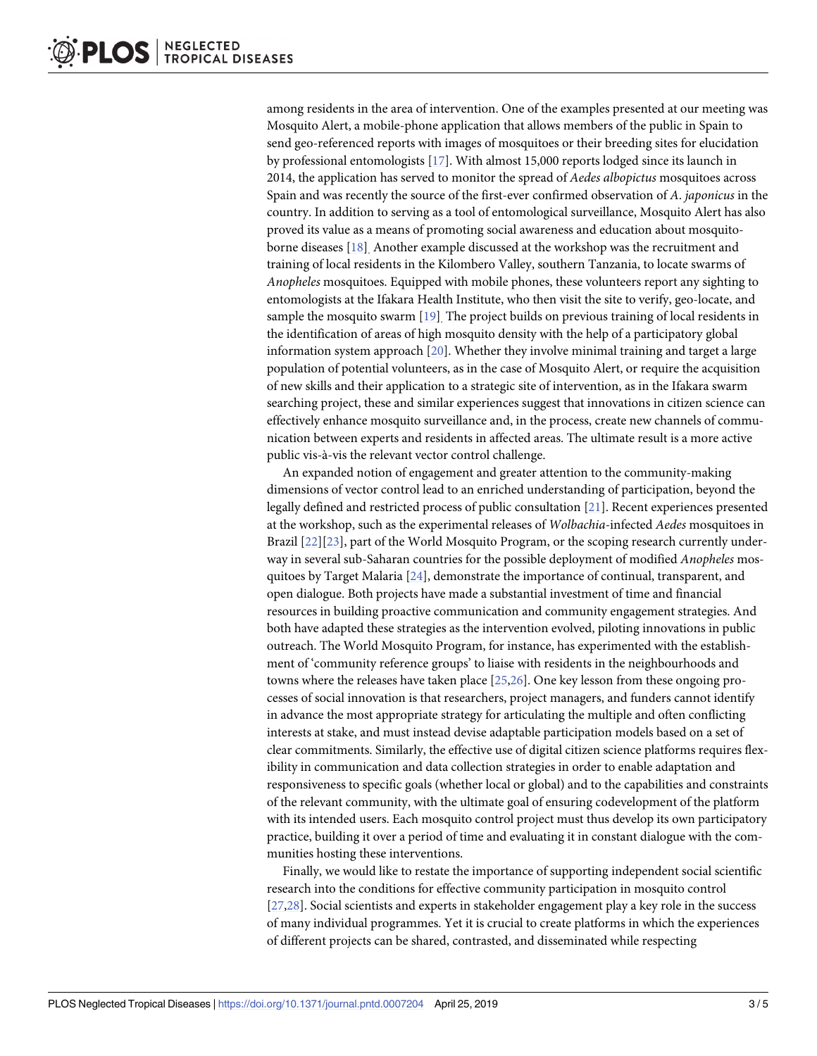<span id="page-2-0"></span>among residents in the area of intervention. One of the examples presented at our meeting was Mosquito Alert, a mobile-phone application that allows members of the public in Spain to send geo-referenced reports with images of mosquitoes or their breeding sites for elucidation by professional entomologists [\[17\]](#page-4-0). With almost 15,000 reports lodged since its launch in 2014, the application has served to monitor the spread of *Aedes albopictus* mosquitoes across Spain and was recently the source of the first-ever confirmed observation of *A*. *japonicus* in the country. In addition to serving as a tool of entomological surveillance, Mosquito Alert has also proved its value as a means of promoting social awareness and education about mosquitoborne diseases [[18](#page-4-0)]. Another example discussed at the workshop was the recruitment and training of local residents in the Kilombero Valley, southern Tanzania, to locate swarms of *Anopheles* mosquitoes. Equipped with mobile phones, these volunteers report any sighting to entomologists at the Ifakara Health Institute, who then visit the site to verify, geo-locate, and sample the mosquito swarm [\[19\]](#page-4-0). The project builds on previous training of local residents in the identification of areas of high mosquito density with the help of a participatory global information system approach [\[20\]](#page-4-0). Whether they involve minimal training and target a large population of potential volunteers, as in the case of Mosquito Alert, or require the acquisition of new skills and their application to a strategic site of intervention, as in the Ifakara swarm searching project, these and similar experiences suggest that innovations in citizen science can effectively enhance mosquito surveillance and, in the process, create new channels of communication between experts and residents in affected areas. The ultimate result is a more active public vis-à-vis the relevant vector control challenge.

An expanded notion of engagement and greater attention to the community-making dimensions of vector control lead to an enriched understanding of participation, beyond the legally defined and restricted process of public consultation [\[21\]](#page-4-0). Recent experiences presented at the workshop, such as the experimental releases of *Wolbachia*-infected *Aedes* mosquitoes in Brazil [[22](#page-4-0)][\[23\]](#page-4-0), part of the World Mosquito Program, or the scoping research currently underway in several sub-Saharan countries for the possible deployment of modified *Anopheles* mosquitoes by Target Malaria [[24](#page-4-0)], demonstrate the importance of continual, transparent, and open dialogue. Both projects have made a substantial investment of time and financial resources in building proactive communication and community engagement strategies. And both have adapted these strategies as the intervention evolved, piloting innovations in public outreach. The World Mosquito Program, for instance, has experimented with the establishment of 'community reference groups' to liaise with residents in the neighbourhoods and towns where the releases have taken place [[25](#page-4-0),[26](#page-4-0)]. One key lesson from these ongoing processes of social innovation is that researchers, project managers, and funders cannot identify in advance the most appropriate strategy for articulating the multiple and often conflicting interests at stake, and must instead devise adaptable participation models based on a set of clear commitments. Similarly, the effective use of digital citizen science platforms requires flexibility in communication and data collection strategies in order to enable adaptation and responsiveness to specific goals (whether local or global) and to the capabilities and constraints of the relevant community, with the ultimate goal of ensuring codevelopment of the platform with its intended users. Each mosquito control project must thus develop its own participatory practice, building it over a period of time and evaluating it in constant dialogue with the communities hosting these interventions.

Finally, we would like to restate the importance of supporting independent social scientific research into the conditions for effective community participation in mosquito control [\[27,28\]](#page-4-0). Social scientists and experts in stakeholder engagement play a key role in the success of many individual programmes. Yet it is crucial to create platforms in which the experiences of different projects can be shared, contrasted, and disseminated while respecting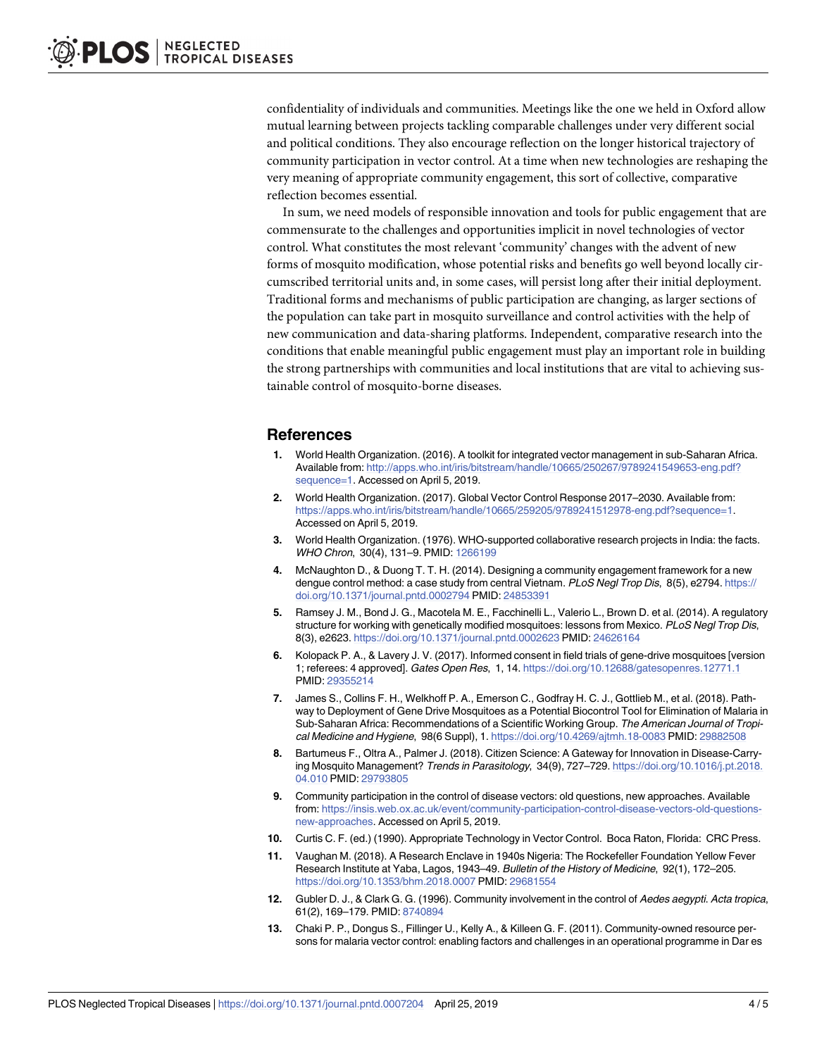<span id="page-3-0"></span>confidentiality of individuals and communities. Meetings like the one we held in Oxford allow mutual learning between projects tackling comparable challenges under very different social and political conditions. They also encourage reflection on the longer historical trajectory of community participation in vector control. At a time when new technologies are reshaping the very meaning of appropriate community engagement, this sort of collective, comparative reflection becomes essential.

In sum, we need models of responsible innovation and tools for public engagement that are commensurate to the challenges and opportunities implicit in novel technologies of vector control. What constitutes the most relevant 'community' changes with the advent of new forms of mosquito modification, whose potential risks and benefits go well beyond locally circumscribed territorial units and, in some cases, will persist long after their initial deployment. Traditional forms and mechanisms of public participation are changing, as larger sections of the population can take part in mosquito surveillance and control activities with the help of new communication and data-sharing platforms. Independent, comparative research into the conditions that enable meaningful public engagement must play an important role in building the strong partnerships with communities and local institutions that are vital to achieving sustainable control of mosquito-borne diseases.

## **References**

- **[1](#page-0-0).** World Health Organization. (2016). A toolkit for integrated vector management in sub-Saharan Africa. Available from: [http://apps.who.int/iris/bitstream/handle/10665/250267/9789241549653-eng.pdf?](http://apps.who.int/iris/bitstream/handle/10665/250267/9789241549653-eng.pdf?sequence=1) [sequence=1.](http://apps.who.int/iris/bitstream/handle/10665/250267/9789241549653-eng.pdf?sequence=1) Accessed on April 5, 2019.
- **[2](#page-0-0).** World Health Organization. (2017). Global Vector Control Response 2017–2030. Available from: <https://apps.who.int/iris/bitstream/handle/10665/259205/9789241512978-eng.pdf?sequence=1>. Accessed on April 5, 2019.
- **[3](#page-0-0).** World Health Organization. (1976). WHO-supported collaborative research projects in India: the facts. WHO Chron, 30(4), 131–9. PMID: [1266199](http://www.ncbi.nlm.nih.gov/pubmed/1266199)
- **[4](#page-1-0).** McNaughton D., & Duong T. T. H. (2014). Designing a community engagement framework for a new dengue control method: a case study from central Vietnam. PLoS Negl Trop Dis, 8(5), e2794. [https://](https://doi.org/10.1371/journal.pntd.0002794) [doi.org/10.1371/journal.pntd.0002794](https://doi.org/10.1371/journal.pntd.0002794) PMID: [24853391](http://www.ncbi.nlm.nih.gov/pubmed/24853391)
- **5.** Ramsey J. M., Bond J. G., Macotela M. E., Facchinelli L., Valerio L., Brown D. et al. (2014). A regulatory structure for working with genetically modified mosquitoes: lessons from Mexico. PLoS Negl Trop Dis, 8(3), e2623. <https://doi.org/10.1371/journal.pntd.0002623> PMID: [24626164](http://www.ncbi.nlm.nih.gov/pubmed/24626164)
- **6.** Kolopack P. A., & Lavery J. V. (2017). Informed consent in field trials of gene-drive mosquitoes [version 1; referees: 4 approved]. Gates Open Res, 1, 14. <https://doi.org/10.12688/gatesopenres.12771.1> PMID: [29355214](http://www.ncbi.nlm.nih.gov/pubmed/29355214)
- **[7](#page-1-0).** James S., Collins F. H., Welkhoff P. A., Emerson C., Godfray H. C. J., Gottlieb M., et al. (2018). Pathway to Deployment of Gene Drive Mosquitoes as a Potential Biocontrol Tool for Elimination of Malaria in Sub-Saharan Africa: Recommendations of a Scientific Working Group. The American Journal of Tropical Medicine and Hygiene, 98(6 Suppl), 1. <https://doi.org/10.4269/ajtmh.18-0083> PMID: [29882508](http://www.ncbi.nlm.nih.gov/pubmed/29882508)
- **[8](#page-1-0).** Bartumeus F., Oltra A., Palmer J. (2018). Citizen Science: A Gateway for Innovation in Disease-Carrying Mosquito Management? Trends in Parasitology, 34(9), 727–729. [https://doi.org/10.1016/j.pt.2018.](https://doi.org/10.1016/j.pt.2018.04.010) [04.010](https://doi.org/10.1016/j.pt.2018.04.010) PMID: [29793805](http://www.ncbi.nlm.nih.gov/pubmed/29793805)
- **[9](#page-1-0).** Community participation in the control of disease vectors: old questions, new approaches. Available from: [https://insis.web.ox.ac.uk/event/community-participation-control-disease-vectors-old-questions](https://insis.web.ox.ac.uk/event/community-participation-control-disease-vectors-old-questions-new-approaches)[new-approaches.](https://insis.web.ox.ac.uk/event/community-participation-control-disease-vectors-old-questions-new-approaches) Accessed on April 5, 2019.
- **[10](#page-1-0).** Curtis C. F. (ed.) (1990). Appropriate Technology in Vector Control. Boca Raton, Florida: CRC Press.
- **11.** Vaughan M. (2018). A Research Enclave in 1940s Nigeria: The Rockefeller Foundation Yellow Fever Research Institute at Yaba, Lagos, 1943–49. Bulletin of the History of Medicine, 92(1), 172–205. <https://doi.org/10.1353/bhm.2018.0007> PMID: [29681554](http://www.ncbi.nlm.nih.gov/pubmed/29681554)
- **[12](#page-1-0).** Gubler D. J., & Clark G. G. (1996). Community involvement in the control of Aedes aegypti. Acta tropica, 61(2), 169–179. PMID: [8740894](http://www.ncbi.nlm.nih.gov/pubmed/8740894)
- **[13](#page-1-0).** Chaki P. P., Dongus S., Fillinger U., Kelly A., & Killeen G. F. (2011). Community-owned resource persons for malaria vector control: enabling factors and challenges in an operational programme in Dar es